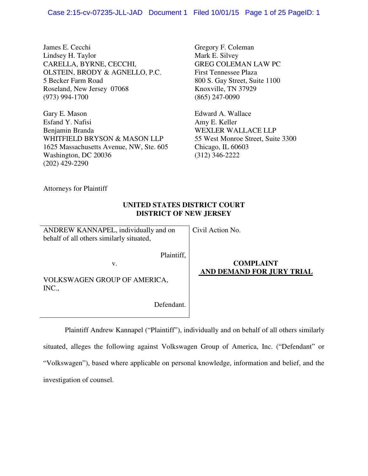James E. Cecchi Lindsey H. Taylor CARELLA, BYRNE, CECCHI, OLSTEIN, BRODY & AGNELLO, P.C. 5 Becker Farm Road Roseland, New Jersey 07068 (973) 994-1700

Gary E. Mason Esfand Y. Nafisi Benjamin Branda WHITFIELD BRYSON & MASON LLP 1625 Massachusetts Avenue, NW, Ste. 605 Washington, DC 20036 (202) 429-2290

Gregory F. Coleman Mark E. Silvey GREG COLEMAN LAW PC First Tennessee Plaza 800 S. Gay Street, Suite 1100 Knoxville, TN 37929 (865) 247-0090

Edward A. Wallace Amy E. Keller WEXLER WALLACE LLP 55 West Monroe Street, Suite 3300 Chicago, IL 60603 (312) 346-2222

Attorneys for Plaintiff

# **UNITED STATES DISTRICT COURT DISTRICT OF NEW JERSEY**

ANDREW KANNAPEL, individually and on behalf of all others similarly situated,

Civil Action No.

Plaintiff,

v.

**COMPLAINT AND DEMAND FOR JURY TRIAL** 

VOLKSWAGEN GROUP OF AMERICA, INC.,

Defendant.

Plaintiff Andrew Kannapel ("Plaintiff"), individually and on behalf of all others similarly

situated, alleges the following against Volkswagen Group of America, Inc. ("Defendant" or "Volkswagen"), based where applicable on personal knowledge, information and belief, and the investigation of counsel.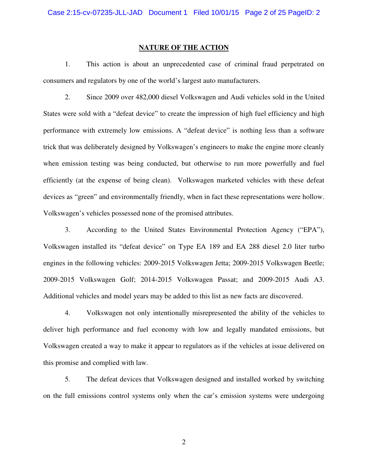#### **NATURE OF THE ACTION**

1. This action is about an unprecedented case of criminal fraud perpetrated on consumers and regulators by one of the world's largest auto manufacturers.

2. Since 2009 over 482,000 diesel Volkswagen and Audi vehicles sold in the United States were sold with a "defeat device" to create the impression of high fuel efficiency and high performance with extremely low emissions. A "defeat device" is nothing less than a software trick that was deliberately designed by Volkswagen's engineers to make the engine more cleanly when emission testing was being conducted, but otherwise to run more powerfully and fuel efficiently (at the expense of being clean). Volkswagen marketed vehicles with these defeat devices as "green" and environmentally friendly, when in fact these representations were hollow. Volkswagen's vehicles possessed none of the promised attributes.

3. According to the United States Environmental Protection Agency ("EPA"), Volkswagen installed its "defeat device" on Type EA 189 and EA 288 diesel 2.0 liter turbo engines in the following vehicles: 2009-2015 Volkswagen Jetta; 2009-2015 Volkswagen Beetle; 2009-2015 Volkswagen Golf; 2014-2015 Volkswagen Passat; and 2009-2015 Audi A3. Additional vehicles and model years may be added to this list as new facts are discovered.

4. Volkswagen not only intentionally misrepresented the ability of the vehicles to deliver high performance and fuel economy with low and legally mandated emissions, but Volkswagen created a way to make it appear to regulators as if the vehicles at issue delivered on this promise and complied with law.

5. The defeat devices that Volkswagen designed and installed worked by switching on the full emissions control systems only when the car's emission systems were undergoing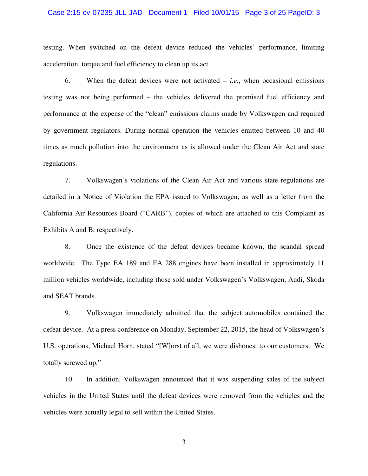#### Case 2:15-cv-07235-JLL-JAD Document 1 Filed 10/01/15 Page 3 of 25 PageID: 3

testing. When switched on the defeat device reduced the vehicles' performance, limiting acceleration, torque and fuel efficiency to clean up its act.

6. When the defeat devices were not activated – *i.e.*, when occasional emissions testing was not being performed – the vehicles delivered the promised fuel efficiency and performance at the expense of the "clean" emissions claims made by Volkswagen and required by government regulators. During normal operation the vehicles emitted between 10 and 40 times as much pollution into the environment as is allowed under the Clean Air Act and state regulations.

7. Volkswagen's violations of the Clean Air Act and various state regulations are detailed in a Notice of Violation the EPA issued to Volkswagen, as well as a letter from the California Air Resources Board ("CARB"), copies of which are attached to this Complaint as Exhibits A and B, respectively.

8. Once the existence of the defeat devices became known, the scandal spread worldwide. The Type EA 189 and EA 288 engines have been installed in approximately 11 million vehicles worldwide, including those sold under Volkswagen's Volkswagen, Audi, Skoda and SEAT brands.

9. Volkswagen immediately admitted that the subject automobiles contained the defeat device. At a press conference on Monday, September 22, 2015, the head of Volkswagen's U.S. operations, Michael Horn, stated "[W]orst of all, we were dishonest to our customers. We totally screwed up."

10. In addition, Volkswagen announced that it was suspending sales of the subject vehicles in the United States until the defeat devices were removed from the vehicles and the vehicles were actually legal to sell within the United States.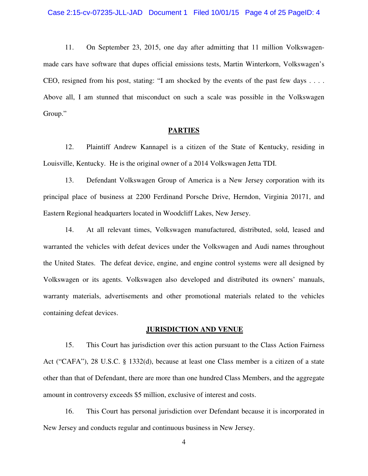11. On September 23, 2015, one day after admitting that 11 million Volkswagenmade cars have software that dupes official emissions tests, Martin Winterkorn, Volkswagen's CEO, resigned from his post, stating: "I am shocked by the events of the past few days . . . . Above all, I am stunned that misconduct on such a scale was possible in the Volkswagen Group."

#### **PARTIES**

12. Plaintiff Andrew Kannapel is a citizen of the State of Kentucky, residing in Louisville, Kentucky. He is the original owner of a 2014 Volkswagen Jetta TDI.

13. Defendant Volkswagen Group of America is a New Jersey corporation with its principal place of business at 2200 Ferdinand Porsche Drive, Herndon, Virginia 20171, and Eastern Regional headquarters located in Woodcliff Lakes, New Jersey.

14. At all relevant times, Volkswagen manufactured, distributed, sold, leased and warranted the vehicles with defeat devices under the Volkswagen and Audi names throughout the United States. The defeat device, engine, and engine control systems were all designed by Volkswagen or its agents. Volkswagen also developed and distributed its owners' manuals, warranty materials, advertisements and other promotional materials related to the vehicles containing defeat devices.

#### **JURISDICTION AND VENUE**

15. This Court has jurisdiction over this action pursuant to the Class Action Fairness Act ("CAFA"), 28 U.S.C. § 1332(d), because at least one Class member is a citizen of a state other than that of Defendant, there are more than one hundred Class Members, and the aggregate amount in controversy exceeds \$5 million, exclusive of interest and costs.

16. This Court has personal jurisdiction over Defendant because it is incorporated in New Jersey and conducts regular and continuous business in New Jersey.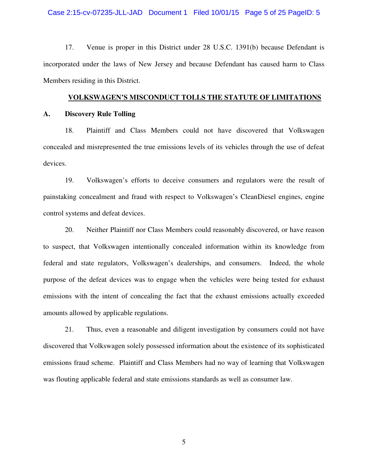#### Case 2:15-cv-07235-JLL-JAD Document 1 Filed 10/01/15 Page 5 of 25 PageID: 5

17. Venue is proper in this District under 28 U.S.C. 1391(b) because Defendant is incorporated under the laws of New Jersey and because Defendant has caused harm to Class Members residing in this District.

#### **VOLKSWAGEN'S MISCONDUCT TOLLS THE STATUTE OF LIMITATIONS**

#### **A. Discovery Rule Tolling**

18. Plaintiff and Class Members could not have discovered that Volkswagen concealed and misrepresented the true emissions levels of its vehicles through the use of defeat devices.

19. Volkswagen's efforts to deceive consumers and regulators were the result of painstaking concealment and fraud with respect to Volkswagen's CleanDiesel engines, engine control systems and defeat devices.

20. Neither Plaintiff nor Class Members could reasonably discovered, or have reason to suspect, that Volkswagen intentionally concealed information within its knowledge from federal and state regulators, Volkswagen's dealerships, and consumers. Indeed, the whole purpose of the defeat devices was to engage when the vehicles were being tested for exhaust emissions with the intent of concealing the fact that the exhaust emissions actually exceeded amounts allowed by applicable regulations.

21. Thus, even a reasonable and diligent investigation by consumers could not have discovered that Volkswagen solely possessed information about the existence of its sophisticated emissions fraud scheme. Plaintiff and Class Members had no way of learning that Volkswagen was flouting applicable federal and state emissions standards as well as consumer law.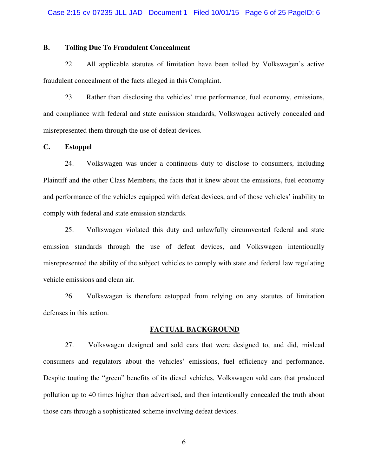## **B. Tolling Due To Fraudulent Concealment**

22. All applicable statutes of limitation have been tolled by Volkswagen's active fraudulent concealment of the facts alleged in this Complaint.

23. Rather than disclosing the vehicles' true performance, fuel economy, emissions, and compliance with federal and state emission standards, Volkswagen actively concealed and misrepresented them through the use of defeat devices.

#### **C. Estoppel**

24. Volkswagen was under a continuous duty to disclose to consumers, including Plaintiff and the other Class Members, the facts that it knew about the emissions, fuel economy and performance of the vehicles equipped with defeat devices, and of those vehicles' inability to comply with federal and state emission standards.

25. Volkswagen violated this duty and unlawfully circumvented federal and state emission standards through the use of defeat devices, and Volkswagen intentionally misrepresented the ability of the subject vehicles to comply with state and federal law regulating vehicle emissions and clean air.

26. Volkswagen is therefore estopped from relying on any statutes of limitation defenses in this action.

#### **FACTUAL BACKGROUND**

27. Volkswagen designed and sold cars that were designed to, and did, mislead consumers and regulators about the vehicles' emissions, fuel efficiency and performance. Despite touting the "green" benefits of its diesel vehicles, Volkswagen sold cars that produced pollution up to 40 times higher than advertised, and then intentionally concealed the truth about those cars through a sophisticated scheme involving defeat devices.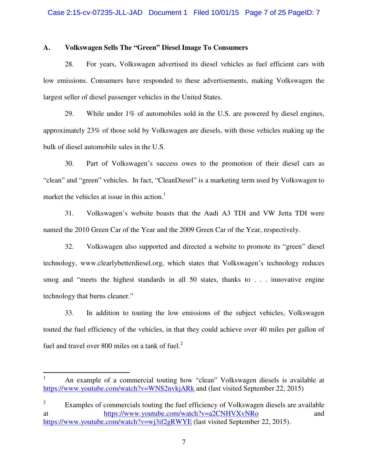#### **A. Volkswagen Sells The "Green" Diesel Image To Consumers**

28. For years, Volkswagen advertised its diesel vehicles as fuel efficient cars with low emissions. Consumers have responded to these advertisements, making Volkswagen the largest seller of diesel passenger vehicles in the United States.

29. While under 1% of automobiles sold in the U.S. are powered by diesel engines, approximately 23% of those sold by Volkswagen are diesels, with those vehicles making up the bulk of diesel automobile sales in the U.S.

30. Part of Volkswagen's success owes to the promotion of their diesel cars as "clean" and "green" vehicles. In fact, "CleanDiesel" is a marketing term used by Volkswagen to market the vehicles at issue in this action.<sup>1</sup>

31. Volkswagen's website boasts that the Audi A3 TDI and VW Jetta TDI were named the 2010 Green Car of the Year and the 2009 Green Car of the Year, respectively.

32. Volkswagen also supported and directed a website to promote its "green" diesel technology, www.clearlybetterdiesel.org, which states that Volkswagen's technology reduces smog and "meets the highest standards in all 50 states, thanks to . . . innovative engine technology that burns cleaner."

33. In addition to touting the low emissions of the subject vehicles, Volkswagen touted the fuel efficiency of the vehicles, in that they could achieve over 40 miles per gallon of fuel and travel over 800 miles on a tank of fuel. $<sup>2</sup>$ </sup>

<u>.</u>

<sup>1</sup> An example of a commercial touting how "clean" Volkswagen diesels is available at https://www.youtube.com/watch?v=WNS2nvkjARk and (last visited September 22, 2015)

<sup>2</sup> Examples of commercials touting the fuel efficiency of Volkswagen diesels are available at https://www.youtube.com/watch?v=a2CNHVXvNRo and https://www.youtube.com/watch?v=wj3if2gRWYE (last visited September 22, 2015).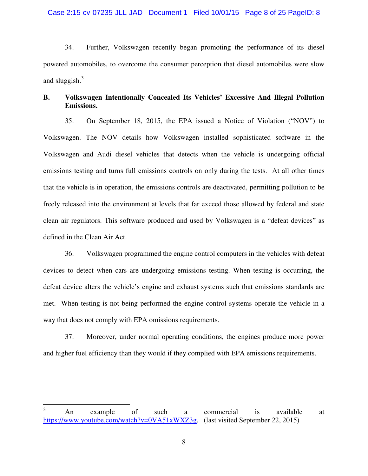34. Further, Volkswagen recently began promoting the performance of its diesel powered automobiles, to overcome the consumer perception that diesel automobiles were slow and sluggish. $3$ 

# **B. Volkswagen Intentionally Concealed Its Vehicles' Excessive And Illegal Pollution Emissions.**

35. On September 18, 2015, the EPA issued a Notice of Violation ("NOV") to Volkswagen. The NOV details how Volkswagen installed sophisticated software in the Volkswagen and Audi diesel vehicles that detects when the vehicle is undergoing official emissions testing and turns full emissions controls on only during the tests. At all other times that the vehicle is in operation, the emissions controls are deactivated, permitting pollution to be freely released into the environment at levels that far exceed those allowed by federal and state clean air regulators. This software produced and used by Volkswagen is a "defeat devices" as defined in the Clean Air Act.

36. Volkswagen programmed the engine control computers in the vehicles with defeat devices to detect when cars are undergoing emissions testing. When testing is occurring, the defeat device alters the vehicle's engine and exhaust systems such that emissions standards are met. When testing is not being performed the engine control systems operate the vehicle in a way that does not comply with EPA omissions requirements.

37. Moreover, under normal operating conditions, the engines produce more power and higher fuel efficiency than they would if they complied with EPA emissions requirements.

 $\frac{1}{3}$  An example of such a commercial is available at https://www.youtube.com/watch?v=0VA51xWXZ3g, (last visited September 22, 2015)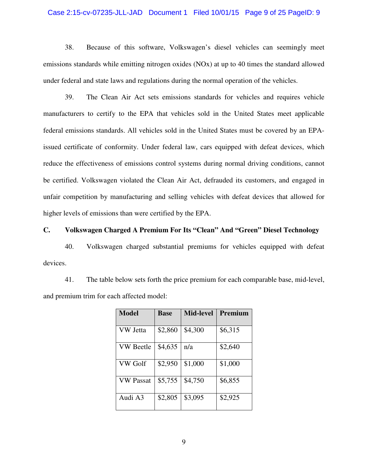#### Case 2:15-cv-07235-JLL-JAD Document 1 Filed 10/01/15 Page 9 of 25 PageID: 9

38. Because of this software, Volkswagen's diesel vehicles can seemingly meet emissions standards while emitting nitrogen oxides (NOx) at up to 40 times the standard allowed under federal and state laws and regulations during the normal operation of the vehicles.

39. The Clean Air Act sets emissions standards for vehicles and requires vehicle manufacturers to certify to the EPA that vehicles sold in the United States meet applicable federal emissions standards. All vehicles sold in the United States must be covered by an EPAissued certificate of conformity. Under federal law, cars equipped with defeat devices, which reduce the effectiveness of emissions control systems during normal driving conditions, cannot be certified. Volkswagen violated the Clean Air Act, defrauded its customers, and engaged in unfair competition by manufacturing and selling vehicles with defeat devices that allowed for higher levels of emissions than were certified by the EPA.

# **C. Volkswagen Charged A Premium For Its "Clean" And "Green" Diesel Technology**

40. Volkswagen charged substantial premiums for vehicles equipped with defeat devices.

41. The table below sets forth the price premium for each comparable base, mid-level, and premium trim for each affected model:

| Model            | <b>Base</b> | <b>Mid-level</b> | Premium |
|------------------|-------------|------------------|---------|
| VW Jetta         | \$2,860     | \$4,300          | \$6,315 |
| <b>VW</b> Beetle | \$4,635     | n/a              | \$2,640 |
| VW Golf          | \$2,950     | \$1,000          | \$1,000 |
| <b>VW Passat</b> | \$5,755     | \$4,750          | \$6,855 |
| Audi A3          | \$2,805     | \$3,095          | \$2,925 |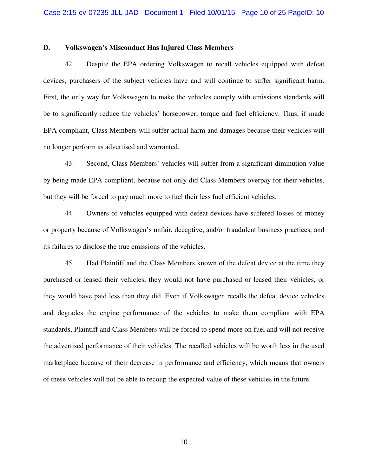#### **D. Volkswagen's Misconduct Has Injured Class Members**

42. Despite the EPA ordering Volkswagen to recall vehicles equipped with defeat devices, purchasers of the subject vehicles have and will continue to suffer significant harm. First, the only way for Volkswagen to make the vehicles comply with emissions standards will be to significantly reduce the vehicles' horsepower, torque and fuel efficiency. Thus, if made EPA compliant, Class Members will suffer actual harm and damages because their vehicles will no longer perform as advertised and warranted.

43. Second, Class Members' vehicles will suffer from a significant diminution value by being made EPA compliant, because not only did Class Members overpay for their vehicles, but they will be forced to pay much more to fuel their less fuel efficient vehicles.

44. Owners of vehicles equipped with defeat devices have suffered losses of money or property because of Volkswagen's unfair, deceptive, and/or fraudulent business practices, and its failures to disclose the true emissions of the vehicles.

45. Had Plaintiff and the Class Members known of the defeat device at the time they purchased or leased their vehicles, they would not have purchased or leased their vehicles, or they would have paid less than they did. Even if Volkswagen recalls the defeat device vehicles and degrades the engine performance of the vehicles to make them compliant with EPA standards, Plaintiff and Class Members will be forced to spend more on fuel and will not receive the advertised performance of their vehicles. The recalled vehicles will be worth less in the used marketplace because of their decrease in performance and efficiency, which means that owners of these vehicles will not be able to recoup the expected value of these vehicles in the future.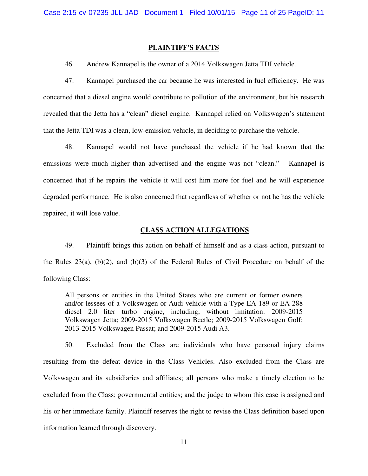#### **PLAINTIFF'S FACTS**

46. Andrew Kannapel is the owner of a 2014 Volkswagen Jetta TDI vehicle.

47. Kannapel purchased the car because he was interested in fuel efficiency. He was concerned that a diesel engine would contribute to pollution of the environment, but his research revealed that the Jetta has a "clean" diesel engine. Kannapel relied on Volkswagen's statement that the Jetta TDI was a clean, low-emission vehicle, in deciding to purchase the vehicle.

48. Kannapel would not have purchased the vehicle if he had known that the emissions were much higher than advertised and the engine was not "clean." Kannapel is concerned that if he repairs the vehicle it will cost him more for fuel and he will experience degraded performance. He is also concerned that regardless of whether or not he has the vehicle repaired, it will lose value.

#### **CLASS ACTION ALLEGATIONS**

49. Plaintiff brings this action on behalf of himself and as a class action, pursuant to the Rules 23(a), (b)(2), and (b)(3) of the Federal Rules of Civil Procedure on behalf of the following Class:

All persons or entities in the United States who are current or former owners and/or lessees of a Volkswagen or Audi vehicle with a Type EA 189 or EA 288 diesel 2.0 liter turbo engine, including, without limitation: 2009-2015 Volkswagen Jetta; 2009-2015 Volkswagen Beetle; 2009-2015 Volkswagen Golf; 2013-2015 Volkswagen Passat; and 2009-2015 Audi A3.

50. Excluded from the Class are individuals who have personal injury claims resulting from the defeat device in the Class Vehicles. Also excluded from the Class are Volkswagen and its subsidiaries and affiliates; all persons who make a timely election to be excluded from the Class; governmental entities; and the judge to whom this case is assigned and his or her immediate family. Plaintiff reserves the right to revise the Class definition based upon information learned through discovery.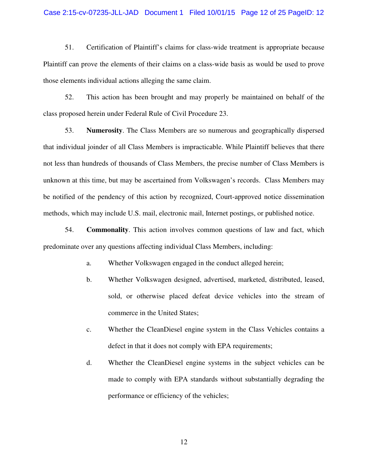#### Case 2:15-cv-07235-JLL-JAD Document 1 Filed 10/01/15 Page 12 of 25 PageID: 12

51. Certification of Plaintiff's claims for class-wide treatment is appropriate because Plaintiff can prove the elements of their claims on a class-wide basis as would be used to prove those elements individual actions alleging the same claim.

52. This action has been brought and may properly be maintained on behalf of the class proposed herein under Federal Rule of Civil Procedure 23.

53. **Numerosity**. The Class Members are so numerous and geographically dispersed that individual joinder of all Class Members is impracticable. While Plaintiff believes that there not less than hundreds of thousands of Class Members, the precise number of Class Members is unknown at this time, but may be ascertained from Volkswagen's records. Class Members may be notified of the pendency of this action by recognized, Court-approved notice dissemination methods, which may include U.S. mail, electronic mail, Internet postings, or published notice.

54. **Commonality**. This action involves common questions of law and fact, which predominate over any questions affecting individual Class Members, including:

- a. Whether Volkswagen engaged in the conduct alleged herein;
- b. Whether Volkswagen designed, advertised, marketed, distributed, leased, sold, or otherwise placed defeat device vehicles into the stream of commerce in the United States;
- c. Whether the CleanDiesel engine system in the Class Vehicles contains a defect in that it does not comply with EPA requirements;
- d. Whether the CleanDiesel engine systems in the subject vehicles can be made to comply with EPA standards without substantially degrading the performance or efficiency of the vehicles;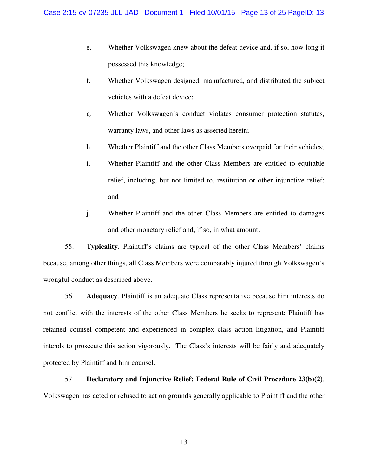- e. Whether Volkswagen knew about the defeat device and, if so, how long it possessed this knowledge;
- f. Whether Volkswagen designed, manufactured, and distributed the subject vehicles with a defeat device;
- g. Whether Volkswagen's conduct violates consumer protection statutes, warranty laws, and other laws as asserted herein;
- h. Whether Plaintiff and the other Class Members overpaid for their vehicles;
- i. Whether Plaintiff and the other Class Members are entitled to equitable relief, including, but not limited to, restitution or other injunctive relief; and
- j. Whether Plaintiff and the other Class Members are entitled to damages and other monetary relief and, if so, in what amount.

55. **Typicality**. Plaintiff's claims are typical of the other Class Members' claims because, among other things, all Class Members were comparably injured through Volkswagen's wrongful conduct as described above.

56. **Adequacy**. Plaintiff is an adequate Class representative because him interests do not conflict with the interests of the other Class Members he seeks to represent; Plaintiff has retained counsel competent and experienced in complex class action litigation, and Plaintiff intends to prosecute this action vigorously. The Class's interests will be fairly and adequately protected by Plaintiff and him counsel.

57. **Declaratory and Injunctive Relief: Federal Rule of Civil Procedure 23(b)(2)**. Volkswagen has acted or refused to act on grounds generally applicable to Plaintiff and the other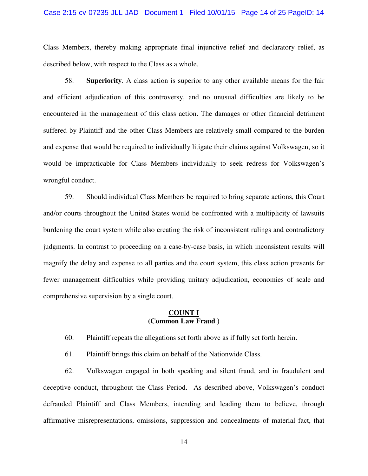#### Case 2:15-cv-07235-JLL-JAD Document 1 Filed 10/01/15 Page 14 of 25 PageID: 14

Class Members, thereby making appropriate final injunctive relief and declaratory relief, as described below, with respect to the Class as a whole.

58. **Superiority**. A class action is superior to any other available means for the fair and efficient adjudication of this controversy, and no unusual difficulties are likely to be encountered in the management of this class action. The damages or other financial detriment suffered by Plaintiff and the other Class Members are relatively small compared to the burden and expense that would be required to individually litigate their claims against Volkswagen, so it would be impracticable for Class Members individually to seek redress for Volkswagen's wrongful conduct.

59. Should individual Class Members be required to bring separate actions, this Court and/or courts throughout the United States would be confronted with a multiplicity of lawsuits burdening the court system while also creating the risk of inconsistent rulings and contradictory judgments. In contrast to proceeding on a case-by-case basis, in which inconsistent results will magnify the delay and expense to all parties and the court system, this class action presents far fewer management difficulties while providing unitary adjudication, economies of scale and comprehensive supervision by a single court.

### **COUNT I (Common Law Fraud )**

60. Plaintiff repeats the allegations set forth above as if fully set forth herein.

61. Plaintiff brings this claim on behalf of the Nationwide Class.

62. Volkswagen engaged in both speaking and silent fraud, and in fraudulent and deceptive conduct, throughout the Class Period. As described above, Volkswagen's conduct defrauded Plaintiff and Class Members, intending and leading them to believe, through affirmative misrepresentations, omissions, suppression and concealments of material fact, that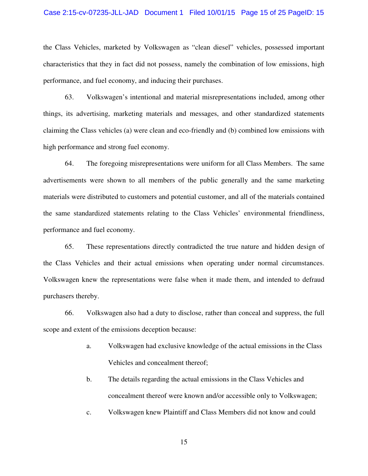#### Case 2:15-cv-07235-JLL-JAD Document 1 Filed 10/01/15 Page 15 of 25 PageID: 15

the Class Vehicles, marketed by Volkswagen as "clean diesel" vehicles, possessed important characteristics that they in fact did not possess, namely the combination of low emissions, high performance, and fuel economy, and inducing their purchases.

63. Volkswagen's intentional and material misrepresentations included, among other things, its advertising, marketing materials and messages, and other standardized statements claiming the Class vehicles (a) were clean and eco-friendly and (b) combined low emissions with high performance and strong fuel economy.

64. The foregoing misrepresentations were uniform for all Class Members. The same advertisements were shown to all members of the public generally and the same marketing materials were distributed to customers and potential customer, and all of the materials contained the same standardized statements relating to the Class Vehicles' environmental friendliness, performance and fuel economy.

65. These representations directly contradicted the true nature and hidden design of the Class Vehicles and their actual emissions when operating under normal circumstances. Volkswagen knew the representations were false when it made them, and intended to defraud purchasers thereby.

66. Volkswagen also had a duty to disclose, rather than conceal and suppress, the full scope and extent of the emissions deception because:

- a. Volkswagen had exclusive knowledge of the actual emissions in the Class Vehicles and concealment thereof;
- b. The details regarding the actual emissions in the Class Vehicles and concealment thereof were known and/or accessible only to Volkswagen;
- c. Volkswagen knew Plaintiff and Class Members did not know and could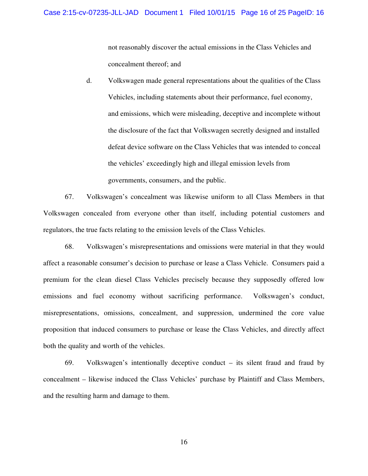not reasonably discover the actual emissions in the Class Vehicles and concealment thereof; and

d. Volkswagen made general representations about the qualities of the Class Vehicles, including statements about their performance, fuel economy, and emissions, which were misleading, deceptive and incomplete without the disclosure of the fact that Volkswagen secretly designed and installed defeat device software on the Class Vehicles that was intended to conceal the vehicles' exceedingly high and illegal emission levels from governments, consumers, and the public.

67. Volkswagen's concealment was likewise uniform to all Class Members in that Volkswagen concealed from everyone other than itself, including potential customers and regulators, the true facts relating to the emission levels of the Class Vehicles.

68. Volkswagen's misrepresentations and omissions were material in that they would affect a reasonable consumer's decision to purchase or lease a Class Vehicle. Consumers paid a premium for the clean diesel Class Vehicles precisely because they supposedly offered low emissions and fuel economy without sacrificing performance. Volkswagen's conduct, misrepresentations, omissions, concealment, and suppression, undermined the core value proposition that induced consumers to purchase or lease the Class Vehicles, and directly affect both the quality and worth of the vehicles.

69. Volkswagen's intentionally deceptive conduct – its silent fraud and fraud by concealment – likewise induced the Class Vehicles' purchase by Plaintiff and Class Members, and the resulting harm and damage to them.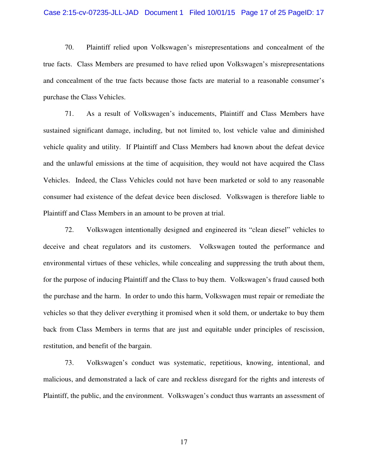#### Case 2:15-cv-07235-JLL-JAD Document 1 Filed 10/01/15 Page 17 of 25 PageID: 17

70. Plaintiff relied upon Volkswagen's misrepresentations and concealment of the true facts. Class Members are presumed to have relied upon Volkswagen's misrepresentations and concealment of the true facts because those facts are material to a reasonable consumer's purchase the Class Vehicles.

71. As a result of Volkswagen's inducements, Plaintiff and Class Members have sustained significant damage, including, but not limited to, lost vehicle value and diminished vehicle quality and utility. If Plaintiff and Class Members had known about the defeat device and the unlawful emissions at the time of acquisition, they would not have acquired the Class Vehicles. Indeed, the Class Vehicles could not have been marketed or sold to any reasonable consumer had existence of the defeat device been disclosed. Volkswagen is therefore liable to Plaintiff and Class Members in an amount to be proven at trial.

72. Volkswagen intentionally designed and engineered its "clean diesel" vehicles to deceive and cheat regulators and its customers. Volkswagen touted the performance and environmental virtues of these vehicles, while concealing and suppressing the truth about them, for the purpose of inducing Plaintiff and the Class to buy them. Volkswagen's fraud caused both the purchase and the harm. In order to undo this harm, Volkswagen must repair or remediate the vehicles so that they deliver everything it promised when it sold them, or undertake to buy them back from Class Members in terms that are just and equitable under principles of rescission, restitution, and benefit of the bargain.

73. Volkswagen's conduct was systematic, repetitious, knowing, intentional, and malicious, and demonstrated a lack of care and reckless disregard for the rights and interests of Plaintiff, the public, and the environment. Volkswagen's conduct thus warrants an assessment of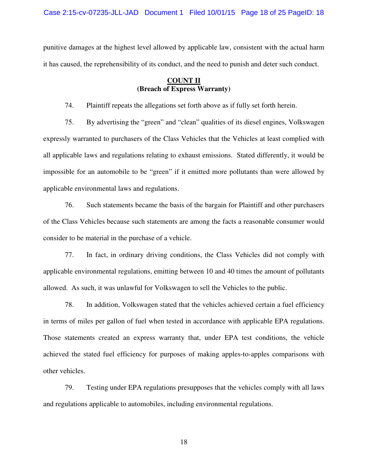Case 2:15-cv-07235-JLL-JAD Document 1 Filed 10/01/15 Page 18 of 25 PageID: 18

punitive damages at the highest level allowed by applicable law, consistent with the actual harm it has caused, the reprehensibility of its conduct, and the need to punish and deter such conduct.

## **COUNT II (Breach of Express Warranty)**

74. Plaintiff repeats the allegations set forth above as if fully set forth herein.

75. By advertising the "green" and "clean" qualities of its diesel engines, Volkswagen expressly warranted to purchasers of the Class Vehicles that the Vehicles at least complied with all applicable laws and regulations relating to exhaust emissions. Stated differently, it would be impossible for an automobile to be "green" if it emitted more pollutants than were allowed by applicable environmental laws and regulations.

76. Such statements became the basis of the bargain for Plaintiff and other purchasers of the Class Vehicles because such statements are among the facts a reasonable consumer would consider to be material in the purchase of a vehicle.

77. In fact, in ordinary driving conditions, the Class Vehicles did not comply with applicable environmental regulations, emitting between 10 and 40 times the amount of pollutants allowed. As such, it was unlawful for Volkswagen to sell the Vehicles to the public.

78. In addition, Volkswagen stated that the vehicles achieved certain a fuel efficiency in terms of miles per gallon of fuel when tested in accordance with applicable EPA regulations. Those statements created an express warranty that, under EPA test conditions, the vehicle achieved the stated fuel efficiency for purposes of making apples-to-apples comparisons with other vehicles.

79. Testing under EPA regulations presupposes that the vehicles comply with all laws and regulations applicable to automobiles, including environmental regulations.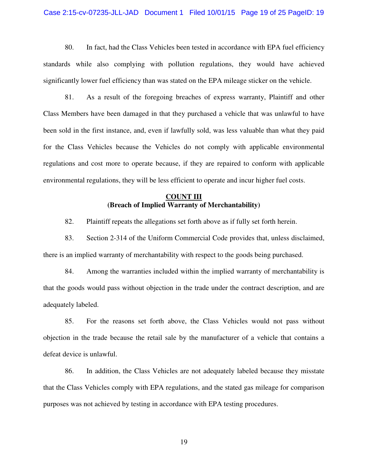#### Case 2:15-cv-07235-JLL-JAD Document 1 Filed 10/01/15 Page 19 of 25 PageID: 19

80. In fact, had the Class Vehicles been tested in accordance with EPA fuel efficiency standards while also complying with pollution regulations, they would have achieved significantly lower fuel efficiency than was stated on the EPA mileage sticker on the vehicle.

81. As a result of the foregoing breaches of express warranty, Plaintiff and other Class Members have been damaged in that they purchased a vehicle that was unlawful to have been sold in the first instance, and, even if lawfully sold, was less valuable than what they paid for the Class Vehicles because the Vehicles do not comply with applicable environmental regulations and cost more to operate because, if they are repaired to conform with applicable environmental regulations, they will be less efficient to operate and incur higher fuel costs.

## **COUNT III (Breach of Implied Warranty of Merchantability)**

82. Plaintiff repeats the allegations set forth above as if fully set forth herein.

83. Section 2-314 of the Uniform Commercial Code provides that, unless disclaimed, there is an implied warranty of merchantability with respect to the goods being purchased.

84. Among the warranties included within the implied warranty of merchantability is that the goods would pass without objection in the trade under the contract description, and are adequately labeled.

85. For the reasons set forth above, the Class Vehicles would not pass without objection in the trade because the retail sale by the manufacturer of a vehicle that contains a defeat device is unlawful.

86. In addition, the Class Vehicles are not adequately labeled because they misstate that the Class Vehicles comply with EPA regulations, and the stated gas mileage for comparison purposes was not achieved by testing in accordance with EPA testing procedures.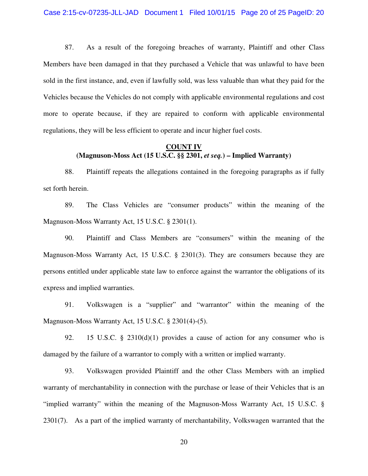87. As a result of the foregoing breaches of warranty, Plaintiff and other Class Members have been damaged in that they purchased a Vehicle that was unlawful to have been sold in the first instance, and, even if lawfully sold, was less valuable than what they paid for the Vehicles because the Vehicles do not comply with applicable environmental regulations and cost more to operate because, if they are repaired to conform with applicable environmental regulations, they will be less efficient to operate and incur higher fuel costs.

## **COUNT IV (Magnuson-Moss Act (15 U.S.C. §§ 2301,** *et seq.***) – Implied Warranty)**

88. Plaintiff repeats the allegations contained in the foregoing paragraphs as if fully set forth herein.

89. The Class Vehicles are "consumer products" within the meaning of the Magnuson-Moss Warranty Act, 15 U.S.C. § 2301(1).

90. Plaintiff and Class Members are "consumers" within the meaning of the Magnuson-Moss Warranty Act, 15 U.S.C. § 2301(3). They are consumers because they are persons entitled under applicable state law to enforce against the warrantor the obligations of its express and implied warranties.

91. Volkswagen is a "supplier" and "warrantor" within the meaning of the Magnuson-Moss Warranty Act, 15 U.S.C. § 2301(4)-(5).

92. 15 U.S.C. § 2310(d)(1) provides a cause of action for any consumer who is damaged by the failure of a warrantor to comply with a written or implied warranty.

93. Volkswagen provided Plaintiff and the other Class Members with an implied warranty of merchantability in connection with the purchase or lease of their Vehicles that is an "implied warranty" within the meaning of the Magnuson-Moss Warranty Act, 15 U.S.C. § 2301(7). As a part of the implied warranty of merchantability, Volkswagen warranted that the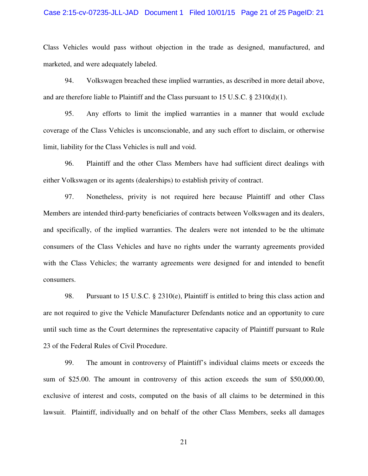#### Case 2:15-cv-07235-JLL-JAD Document 1 Filed 10/01/15 Page 21 of 25 PageID: 21

Class Vehicles would pass without objection in the trade as designed, manufactured, and marketed, and were adequately labeled.

94. Volkswagen breached these implied warranties, as described in more detail above, and are therefore liable to Plaintiff and the Class pursuant to 15 U.S.C. § 2310(d)(1).

95. Any efforts to limit the implied warranties in a manner that would exclude coverage of the Class Vehicles is unconscionable, and any such effort to disclaim, or otherwise limit, liability for the Class Vehicles is null and void.

96. Plaintiff and the other Class Members have had sufficient direct dealings with either Volkswagen or its agents (dealerships) to establish privity of contract.

97. Nonetheless, privity is not required here because Plaintiff and other Class Members are intended third-party beneficiaries of contracts between Volkswagen and its dealers, and specifically, of the implied warranties. The dealers were not intended to be the ultimate consumers of the Class Vehicles and have no rights under the warranty agreements provided with the Class Vehicles; the warranty agreements were designed for and intended to benefit consumers.

98. Pursuant to 15 U.S.C. § 2310(e), Plaintiff is entitled to bring this class action and are not required to give the Vehicle Manufacturer Defendants notice and an opportunity to cure until such time as the Court determines the representative capacity of Plaintiff pursuant to Rule 23 of the Federal Rules of Civil Procedure.

99. The amount in controversy of Plaintiff's individual claims meets or exceeds the sum of \$25.00. The amount in controversy of this action exceeds the sum of \$50,000.00, exclusive of interest and costs, computed on the basis of all claims to be determined in this lawsuit. Plaintiff, individually and on behalf of the other Class Members, seeks all damages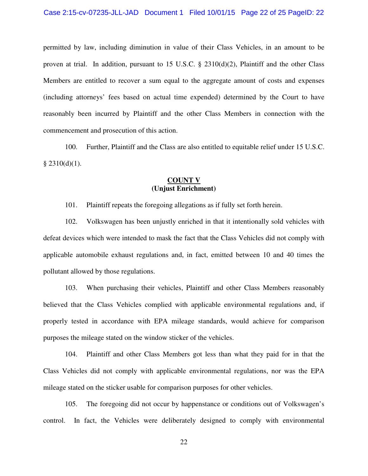permitted by law, including diminution in value of their Class Vehicles, in an amount to be proven at trial. In addition, pursuant to 15 U.S.C. § 2310(d)(2), Plaintiff and the other Class Members are entitled to recover a sum equal to the aggregate amount of costs and expenses (including attorneys' fees based on actual time expended) determined by the Court to have reasonably been incurred by Plaintiff and the other Class Members in connection with the commencement and prosecution of this action.

100. Further, Plaintiff and the Class are also entitled to equitable relief under 15 U.S.C.  $§$  2310(d)(1).

#### **COUNT V (Unjust Enrichment)**

101. Plaintiff repeats the foregoing allegations as if fully set forth herein.

102. Volkswagen has been unjustly enriched in that it intentionally sold vehicles with defeat devices which were intended to mask the fact that the Class Vehicles did not comply with applicable automobile exhaust regulations and, in fact, emitted between 10 and 40 times the pollutant allowed by those regulations.

103. When purchasing their vehicles, Plaintiff and other Class Members reasonably believed that the Class Vehicles complied with applicable environmental regulations and, if properly tested in accordance with EPA mileage standards, would achieve for comparison purposes the mileage stated on the window sticker of the vehicles.

104. Plaintiff and other Class Members got less than what they paid for in that the Class Vehicles did not comply with applicable environmental regulations, nor was the EPA mileage stated on the sticker usable for comparison purposes for other vehicles.

105. The foregoing did not occur by happenstance or conditions out of Volkswagen's control. In fact, the Vehicles were deliberately designed to comply with environmental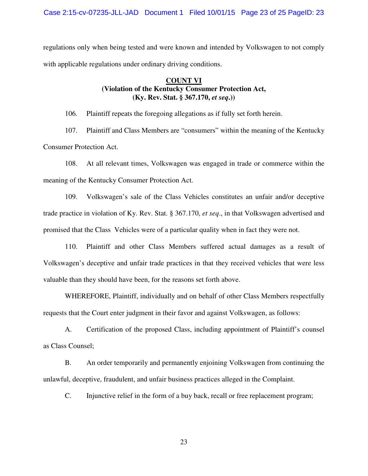regulations only when being tested and were known and intended by Volkswagen to not comply with applicable regulations under ordinary driving conditions.

## **COUNT VI (Violation of the Kentucky Consumer Protection Act, (Ky. Rev. Stat. § 367.170,** *et seq***.))**

106. Plaintiff repeats the foregoing allegations as if fully set forth herein.

107. Plaintiff and Class Members are "consumers" within the meaning of the Kentucky Consumer Protection Act.

108. At all relevant times, Volkswagen was engaged in trade or commerce within the meaning of the Kentucky Consumer Protection Act.

109. Volkswagen's sale of the Class Vehicles constitutes an unfair and/or deceptive trade practice in violation of Ky. Rev. Stat. § 367.170, *et seq*., in that Volkswagen advertised and promised that the Class Vehicles were of a particular quality when in fact they were not.

110. Plaintiff and other Class Members suffered actual damages as a result of Volkswagen's deceptive and unfair trade practices in that they received vehicles that were less valuable than they should have been, for the reasons set forth above.

WHEREFORE, Plaintiff, individually and on behalf of other Class Members respectfully requests that the Court enter judgment in their favor and against Volkswagen, as follows:

A. Certification of the proposed Class, including appointment of Plaintiff's counsel as Class Counsel;

B. An order temporarily and permanently enjoining Volkswagen from continuing the unlawful, deceptive, fraudulent, and unfair business practices alleged in the Complaint.

C. Injunctive relief in the form of a buy back, recall or free replacement program;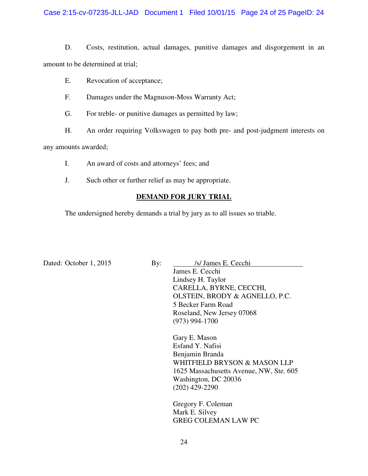Case 2:15-cv-07235-JLL-JAD Document 1 Filed 10/01/15 Page 24 of 25 PageID: 24

D. Costs, restitution, actual damages, punitive damages and disgorgement in an amount to be determined at trial;

- E. Revocation of acceptance;
- F. Damages under the Magnuson-Moss Warranty Act;
- G. For treble- or punitive damages as permitted by law;
- H. An order requiring Volkswagen to pay both pre- and post-judgment interests on

any amounts awarded;

- I. An award of costs and attorneys' fees; and
- J. Such other or further relief as may be appropriate.

## **DEMAND FOR JURY TRIAL**

The undersigned hereby demands a trial by jury as to all issues so triable.

Dated: October 1, 2015 By: *Is/ James E. Cecchi* James E. Cecchi Lindsey H. Taylor CARELLA, BYRNE, CECCHI, OLSTEIN, BRODY & AGNELLO, P.C. 5 Becker Farm Road Roseland, New Jersey 07068 (973) 994-1700

> Gary E. Mason Esfand Y. Nafisi Benjamin Branda WHITFIELD BRYSON & MASON LLP 1625 Massachusetts Avenue, NW, Ste. 605 Washington, DC 20036 (202) 429-2290

Gregory F. Coleman Mark E. Silvey GREG COLEMAN LAW PC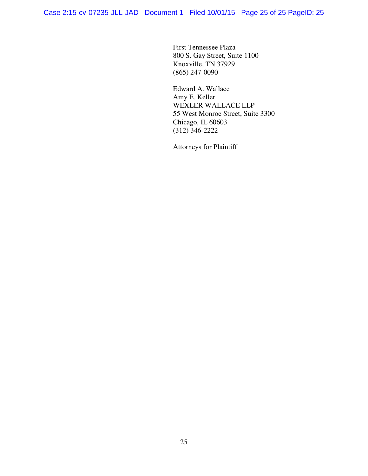First Tennessee Plaza 800 S. Gay Street, Suite 1100 Knoxville, TN 37929 (865) 247-0090

Edward A. Wallace Amy E. Keller WEXLER WALLACE LLP 55 West Monroe Street, Suite 3300 Chicago, IL 60603 (312) 346-2222

Attorneys for Plaintiff